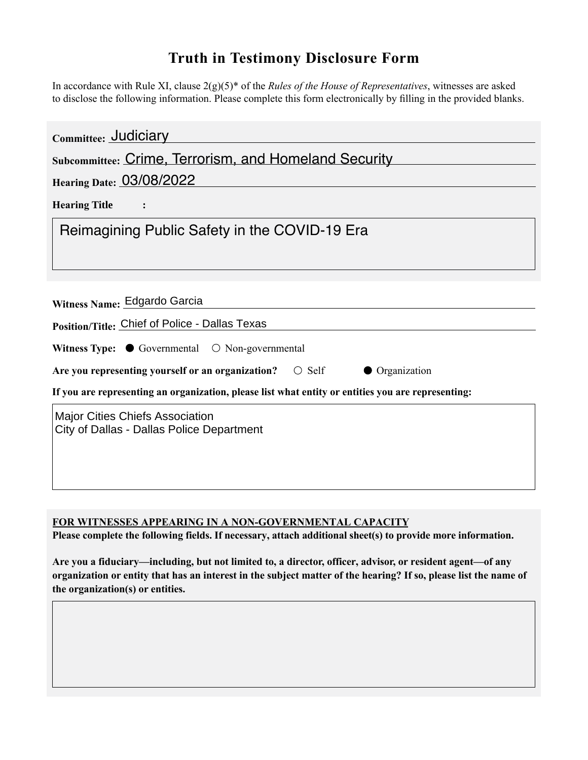## **Truth in Testimony Disclosure Form**

In accordance with Rule XI, clause 2(g)(5)\* of the *Rules of the House of Representatives*, witnesses are asked to disclose the following information. Please complete this form electronically by filling in the provided blanks.

| Committee: Judiciary                                                                               |
|----------------------------------------------------------------------------------------------------|
| <b>Subcommittee: Crime, Terrorism, and Homeland Security</b>                                       |
| <b>Hearing Date: 03/08/2022</b>                                                                    |
| <b>Hearing Title</b>                                                                               |
| Reimagining Public Safety in the COVID-19 Era                                                      |
|                                                                                                    |
| Witness Name: Edgardo Garcia                                                                       |
| Position/Title: Chief of Police - Dallas Texas                                                     |
| Witness Type: $\bullet$ Governmental $\circ$ Non-governmental                                      |
| Are you representing yourself or an organization? $\bigcirc$ Self<br>• Organization                |
| If you are representing an organization, please list what entity or entities you are representing: |
| <b>Major Cities Chiefs Association</b><br>City of Dallas - Dallas Police Department                |

**FOR WITNESSES APPEARING IN A NON-GOVERNMENTAL CAPACITY**

**Please complete the following fields. If necessary, attach additional sheet(s) to provide more information.**

**Are you a fiduciary—including, but not limited to, a director, officer, advisor, or resident agent—of any organization or entity that has an interest in the subject matter of the hearing? If so, please list the name of the organization(s) or entities.**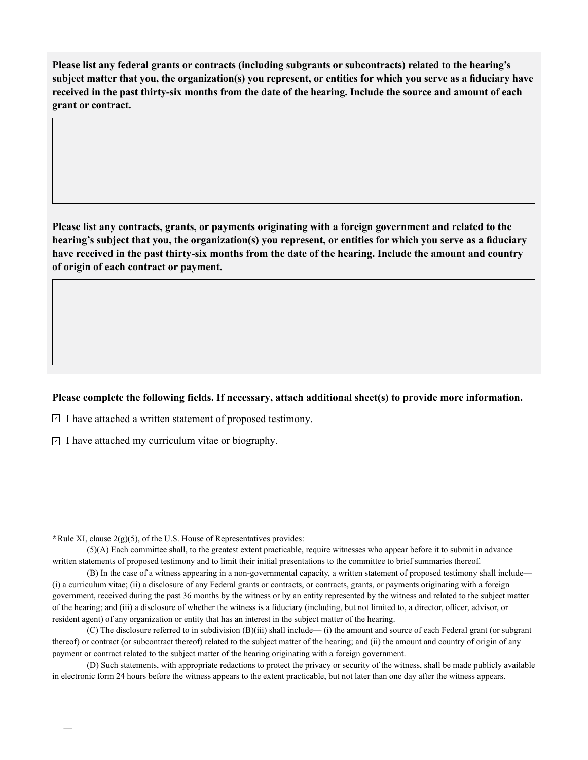**Please list any federal grants or contracts (including subgrants or subcontracts) related to the hearing's subject matter that you, the organization(s) you represent, or entities for which you serve as a fiduciary have received in the past thirty-six months from the date of the hearing. Include the source and amount of each grant or contract.** 

**Please list any contracts, grants, or payments originating with a foreign government and related to the hearing's subject that you, the organization(s) you represent, or entities for which you serve as a fiduciary have received in the past thirty-six months from the date of the hearing. Include the amount and country of origin of each contract or payment.** 

## **Please complete the following fields. If necessary, attach additional sheet(s) to provide more information.**

 $\exists$  I have attached a written statement of proposed testimony.

 $\subseteq$  I have attached my curriculum vitae or biography.

**\***Rule XI, clause 2(g)(5), of the U.S. House of Representatives provides:

—

(5)(A) Each committee shall, to the greatest extent practicable, require witnesses who appear before it to submit in advance written statements of proposed testimony and to limit their initial presentations to the committee to brief summaries thereof.

(B) In the case of a witness appearing in a non-governmental capacity, a written statement of proposed testimony shall include— (i) a curriculum vitae; (ii) a disclosure of any Federal grants or contracts, or contracts, grants, or payments originating with a foreign government, received during the past 36 months by the witness or by an entity represented by the witness and related to the subject matter of the hearing; and (iii) a disclosure of whether the witness is a fiduciary (including, but not limited to, a director, officer, advisor, or resident agent) of any organization or entity that has an interest in the subject matter of the hearing.

(C) The disclosure referred to in subdivision (B)(iii) shall include— (i) the amount and source of each Federal grant (or subgrant thereof) or contract (or subcontract thereof) related to the subject matter of the hearing; and (ii) the amount and country of origin of any payment or contract related to the subject matter of the hearing originating with a foreign government.

(D) Such statements, with appropriate redactions to protect the privacy or security of the witness, shall be made publicly available in electronic form 24 hours before the witness appears to the extent practicable, but not later than one day after the witness appears.